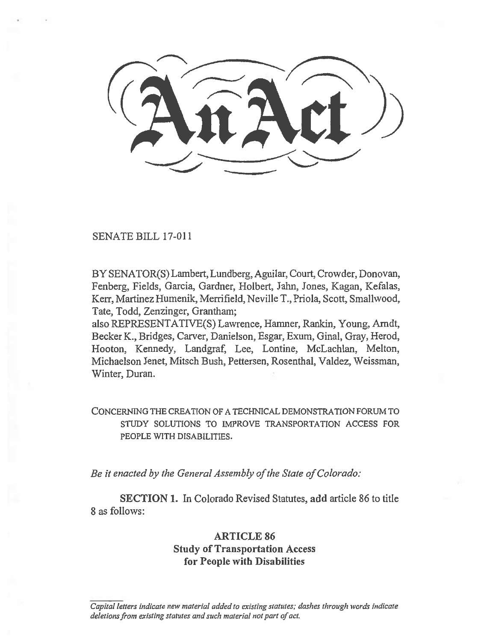# SENATE BILL 17-011

BY SENATOR(S) Lambert, Lundberg, Aguilar, Court, Crowder, Donovan, Fenberg, Fields, Garcia, Gardner, Holbert, Jahn, Jones, Kagan, Kefalas, Kerr, Martinez Humenik, Merrifield, Neville T., Priola, Scott, Smallwood, Tate, Todd, Zenzinger, Grantham;

also REPRESENTATIVE(S) Lawrence, Hamner, Rankin, Young, Arndt, Becker K., Bridges, Carver, Danielson, Esgar, Exum, Ginal, Gray, Herod, Hooton, Kennedy, Landgraf, Lee, Lontine, McLachlan, Melton, Michaelson Jenet, Mitsch Bush, Pettersen, Rosenthal, Valdez, Weissman, Winter, Duran.

CONCERNING THE CREATION OF A TECHNICAL DEMONSTRATION FORUM TO STUDY SOLUTIONS TO IMPROVE TRANSPORTATION ACCESS FOR PEOPLE WITH DISABILITIES.

*Be it enacted by the General Assembly of the State of Colorado:* 

**SECTION I.** In Colorado Revised Statutes, **add article 86 to title**  8 as follows:

# **ARTICLE 86 Study of Transportation Access for People with Disabilities**

Capital letters indicate new material added to existing statutes; dashes through words indicate deletions from existing statutes and such material not part of act.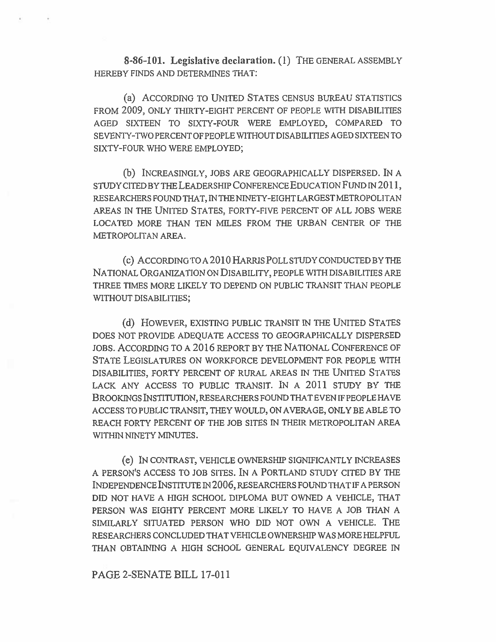**8-86-101. Legislative declaration. (1)** THE GENERAL ASSEMBLY HEREBY FINDS AND DETERMINES THAT:

(a) ACCORDING TO UNITED STATES CENSUS BUREAU STATISTICS FROM **2009,** ONLY THIRTY-EIGHT PERCENT OF PEOPLE WITH DISABILITIES AGED SIXTEEN TO SIXTY-FOUR WERE EMPLOYED, COMPARED TO SEVENTY-TWO PERCENT OF PEOPLE WITHOUT DISABILITIES AGED SIXTEEN TO SIXTY-FOUR WHO WERE EMPLOYED;

(b) INCREASINGLY, JOBS ARE GEOGRAPHICALLY DISPERSED. IN A STUDY CITED BY THE LEADERSHIP CONFERENCE EDUCATION FUND IN **2011,**  RESEARCHERS FOUND THAT, IN THE NINETY-EIGHT LARGEST METROPOLITAN AREAS IN THE UNITED STATES, FORTY-FIVE PERCENT OF ALL JOBS WERE LOCATED MORE THAN TEN MILES FROM THE URBAN CENTER OF THE METROPOLITAN AREA.

(c) ACCORDING TO A **2010** HARRIS POLL STUDY CONDUCTED BY THE NATIONAL ORGANIZATION ON DISABILITY, PEOPLE WITH DISABILITIES ARE THREE TIMES MORE LIKELY TO DEPEND ON PUBLIC TRANSIT THAN PEOPLE WITHOUT DISABILITIES;

(d) HOWEVER, EXISTING PUBLIC TRANSIT IN THE UNITED STATES DOES NOT PROVIDE ADEQUATE ACCESS TO GEOGRAPHICALLY DISPERSED JOBS. ACCORDING TO A **2016** REPORT BY THE NATIONAL CONFERENCE OF STATE LEGISLATURES ON WORKFORCE DEVELOPMENT FOR PEOPLE WITH DISABILITIES, FORTY PERCENT OF RURAL AREAS IN THE UNITED STATES LACK ANY ACCESS TO PUBLIC TRANSIT. IN A **2011** STUDY BY THE **BROOKINGS** INSTITUTION, RESEARCHERS FOUND THAT EVEN IF PEOPLE HAVE ACCESS TO PUBLIC TRANSIT, THEY WOULD, ON AVERAGE, ONLY BE ABLE TO REACH FORTY PERCENT OF THE JOB SITES IN THEIR METROPOLITAN AREA WITHIN NINETY MINUTES.

(e) IN CONTRAST, VEHICLE OWNERSHIP SIGNIFICANTLY INCREASES A PERSON'S ACCESS TO JOB SITES. IN A PORTLAND STUDY CITED BY THE INDEPENDENCE INSTITUTE IN **2006,** RESEARCHERS FOUND THAT IF A PERSON DID NOT HAVE A HIGH SCHOOL DIPLOMA BUT OWNED A VEHICLE, THAT PERSON WAS EIGHTY PERCENT MORE LIKELY TO HAVE A JOB THAN A SIMILARLY SITUATED PERSON WHO DID NOT OWN A VEHICLE. THE RESEARCHERS CONCLUDED THAT VEHICLE OWNERSHIP WAS MORE HELPFUL THAN OBTAINING A HIGH SCHOOL GENERAL EQUIVALENCY DEGREE IN

## **PAGE 2-SENATE BILL 17-011**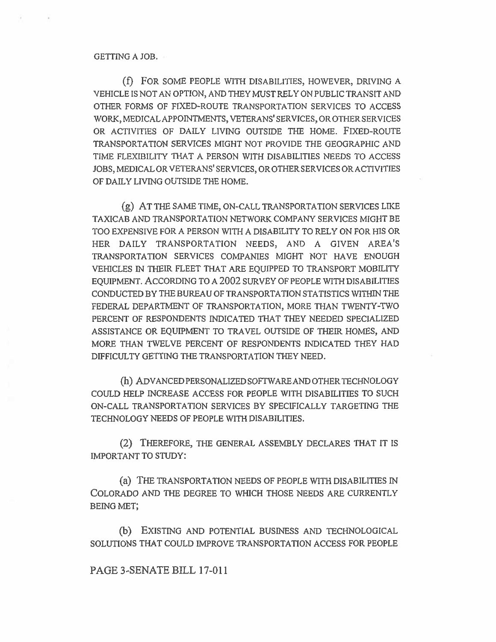#### GETTING A JOB.

(f) FOR SOME PEOPLE WITH DISABILITIES, HOWEVER, DRIVING A VEHICLE IS NOT AN OPTION, AND THEY MUST RELY ON PUBLIC TRANSIT AND OTHER FORMS OF FIXED-ROUTE TRANSPORTATION SERVICES TO ACCESS WORK, MEDICAL APPOINTMENTS, VETERANS' SERVICES, OR OTHER SERVICES OR ACTIVITIES OF DAILY LIVING OUTSIDE THE HOME. FIXED-ROUTE TRANSPORTATION SERVICES MIGHT NOT PROVIDE THE GEOGRAPHIC AND TIME FLEXIBILITY THAT A PERSON WITH DISABILITIES NEEDS TO ACCESS JOBS, MEDICAL OR VETERANS' SERVICES, OR OTHER SERVICES OR ACTIVITIES OF DAILY LIVING OUTSIDE THE HOME.

(g) AT THE SAME TIME, ON-CALL TRANSPORTATION SERVICES LIKE TAXICAB AND TRANSPORTATION NETWORK COMPANY SERVICES MIGHT BE TOO EXPENSIVE FOR A PERSON WITH A DISABILITY TO RELY ON FOR HIS OR HER DAILY TRANSPORTATION NEEDS, AND A GIVEN AREA'S TRANSPORTATION SERVICES COMPANIES MIGHT NOT HAVE ENOUGH VEHICLES IN THEIR FLEET THAT ARE EQUIPPED TO TRANSPORT MOBILITY EQUIPMENT. ACCORDING TO A 2002 SURVEY OF PEOPLE WITH DISABILITIES CONDUCTED BY THE BUREAU OF TRANSPORTATION STATISTICS WITHIN THE FEDERAL DEPARTMENT OF TRANSPORTATION, MORE THAN TWENTY-TWO PERCENT OF RESPONDENTS INDICATED THAT THEY NEEDED SPECIALIZED ASSISTANCE OR EQUIPMENT TO TRAVEL OUTSIDE OF THEIR HOMES, AND MORE THAN TWELVE PERCENT OF RESPONDENTS INDICATED THEY HAD DIFFICULTY GETTING THE TRANSPORTATION THEY NEED.

(h) ADVANCED PERSONALIZED SOFTWARE AND OTHER TECHNOLOGY COULD HELP INCREASE ACCESS FOR PEOPLE WITH DISABILITIES TO SUCH ON-CALL TRANSPORTATION SERVICES BY SPECIFICALLY TARGETING THE TECHNOLOGY NEEDS OF PEOPLE WITH DISABILITIES.

(2) THEREFORE, THE GENERAL ASSEMBLY DECLARES THAT IT IS IMPORTANT TO STUDY:

(a) THE TRANSPORTATION NEEDS OF PEOPLE WITH DISABILITIES IN COLORADO AND THE DEGREE TO WHICH THOSE NEEDS ARE CURRENTLY BEING MET;

(b) EXISTING AND POTENTIAL BUSINESS AND TECHNOLOGICAL SOLUTIONS THAT COULD IMPROVE TRANSPORTATION ACCESS FOR PEOPLE

PAGE 3-SENATE BILL 17-011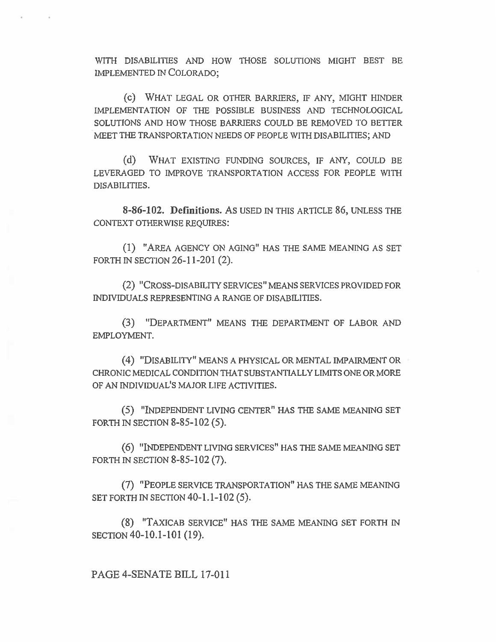WITH DISABILITIES AND HOW THOSE SOLUTIONS MIGHT BEST BE IMPLEMENTED IN COLORADO;

(c) WHAT LEGAL OR OTHER BARRIERS, IF ANY, MIGHT HINDER IMPLEMENTATION OF THE POSSIBLE BUSINESS AND TECHNOLOGICAL SOLUTIONS AND HOW THOSE BARRIERS COULD BE REMOVED TO BETTER MEET THE TRANSPORTATION NEEDS OF PEOPLE WITH DISABILITIES; AND

(d) WHAT EXISTING FUNDING SOURCES, IF ANY, COULD BE LEVERAGED TO IMPROVE TRANSPORTATION ACCESS FOR PEOPLE WITH DISABILITIES.

**8-86-102. Definitions.** As USED IN THIS ARTICLE 86, UNLESS THE CONTEXT OTHERWISE REQUIRES:

(1) "AREA AGENCY ON AGING" HAS THE SAME MEANING AS SET FORTH IN SECTION 26-11-201 (2).

(2) "CROSS-DISABILITY SERVICES" MEANS SERVICES PROVIDED FOR INDIVIDUALS REPRESENTING A RANGE OF DISABILITIES.

(3) "DEPARTMENT" MEANS THE DEPARTMENT OF LABOR AND EMPLOYMENT.

(4) "DISABILITY" MEANS A PHYSICAL OR MENTAL IMPAIRMENT OR CHRONIC MEDICAL CONDITION THAT SUBSTANTIALLY LIMITS ONE OR MORE OF AN INDIVIDUAL'S MAJOR LIFE ACTIVITIES.

(5) "INDEPENDENT LIVING CENTER" HAS THE SAME MEANING SET FORTH IN SECTION 8-85-102 (5).

(6) "INDEPENDENT LIVING SERVICES" HAS THE SAME MEANING SET FORTH IN SECTION 8-85-102 (7).

(7) "PEOPLE SERVICE TRANSPORTATION" HAS THE SAME MEANING SET FORTH IN SECTION **40-1.1-102 (5).** 

(8) "TAXICAB SERVICE" HAS THE SAME MEANING SET FORTH IN SECTION **40-10.1-101 (19).** 

## **PAGE 4-SENATE BILL 17-011**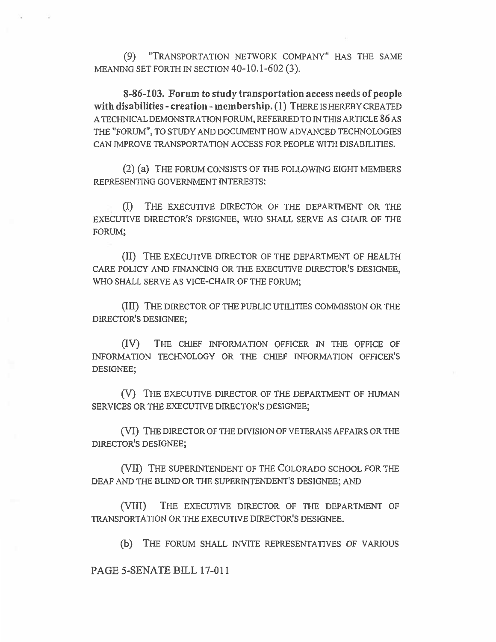(9) "TRANSPORTATION NETWORK COMPANY" HAS THE SAME MEANING SET FORTH IN SECTION 40-10.1-602 (3).

**8-86-103. Forum to study transportation access needs of people with disabilities - creation - membership. (1)** THERE IS HEREBY CREATED A TECHNICAL DEMONSTRATION FORUM, REFERRED TO IN THIS ARTICLE 86 AS THE "FORUM", TO STUDY AND DOCUMENT HOW ADVANCED TECHNOLOGIES CAN IMPROVE TRANSPORTATION ACCESS FOR PEOPLE WITH DISABILITIES.

(2) (a) THE FORUM CONSISTS OF THE FOLLOWING EIGHT MEMBERS REPRESENTING GOVERNMENT INTERESTS:

(I) THE EXECUTIVE DIRECTOR OF THE DEPARTMENT OR THE EXECUTIVE DIRECTOR'S DESIGNEE, WHO SHALL SERVE AS CHAIR OF THE FORUM;

(II) THE EXECUTIVE DIRECTOR OF THE DEPARTMENT OF HEALTH CARE POLICY AND FINANCING OR THE EXECUTIVE DIRECTOR'S DESIGNEE, WHO SHALL SERVE AS VICE-CHAIR OF THE FORUM;

(11I) THE DIRECTOR OF THE PUBLIC UTILITIES COMMISSION OR THE DIRECTOR'S DESIGNEE;

(IV) THE CHIEF INFORMATION OFFICER IN THE OFFICE OF INFORMATION TECHNOLOGY OR THE CHIEF INFORMATION OFFICER'S DESIGNEE;

(V) THE EXECUTIVE DIRECTOR OF THE DEPARTMENT OF HUMAN SERVICES OR THE EXECUTIVE DIRECTOR'S DESIGNEE;

(VI) THE DIRECTOR OF THE DIVISION OF VETERANS AFFAIRS OR THE DIRECTOR'S DESIGNEE;

(VII) THE SUPERINTENDENT OF THE COLORADO SCHOOL FOR THE DEAF AND THE BLIND OR THE SUPERINTENDENT'S DESIGNEE; AND

(VIII) THE EXECUTIVE DIRECTOR OF THE DEPARTMENT OF TRANSPORTATION OR THE EXECUTIVE DIRECTOR'S DESIGNEE.

(b) THE FORUM SHALL INVITE REPRESENTATIVES OF VARIOUS

**PAGE 5-SENATE BILL 17-011**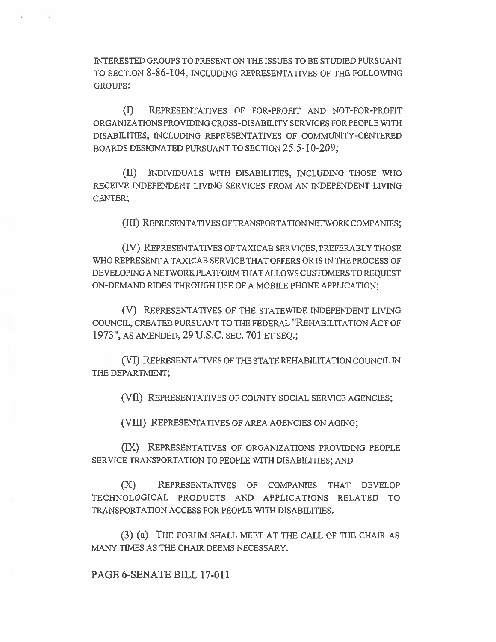INTERESTED GROUPS TO PRESENT ON THE ISSUES TO BE STUDIED PURSUANT TO SECTION 8-86-104, INCLUDING REPRESENTATIVES OF THE FOLLOWING GROUPS:

(I) REPRESENTATIVES OF FOR-PROFIT AND NOT-FOR-PROFIT ORGANIZATIONS PROVIDING CROSS-DISABILITY SERVICES FOR PEOPLE WITH DISABILITIES, INCLUDING REPRESENTATIVES OF COMMUNITY-CENTERED BOARDS DESIGNATED PURSUANT TO SECTION 25.5-10-209;

(II) INDIVIDUALS WITH DISABILITIES, INCLUDING THOSE WHO RECEIVE INDEPENDENT LIVING SERVICES FROM AN INDEPENDENT LIVING CENTER;

(III) REPRESENTATIVES OF TRANSPORTATION NETWORK COMPANIES;

(IV) REPRESENTATIVES OF TAXICAB SERVICES, PREFERABLY THOSE WHO REPRESENT A TAXICAB SERVICE THAT OFFERS OR IS IN THE PROCESS OF DEVELOPING A NETWORK PLATFORM THAT ALLOWS CUSTOMERS TO REQUEST ON-DEMAND RIDES THROUGH USE OF A MOBILE PHONE APPLICATION;

(V) REPRESENTATIVES OF THE STATEWIDE INDEPENDENT LIVING COUNCIL, CREATED PURSUANT TO THE FEDERAL "REHABILITATION ACT OF 1973", AS AMENDED, 29 U.S.C. SEC. 701 ET SEQ.;

(VI) REPRESENTATIVES OF THE STATE REHABILITATION COUNCIL IN THE DEPARTMENT;

(VII) REPRESENTATIVES OF COUNTY SOCIAL SERVICE AGENCIES;

(VIII) REPRESENTATIVES OF AREA AGENCIES ON AGING;

(IX) REPRESENTATIVES OF ORGANIZATIONS PROVIDING PEOPLE SERVICE TRANSPORTATION TO PEOPLE WITH DISABILITIES; AND

(X) REPRESENTATIVES OF COMPANIES THAT DEVELOP TECHNOLOGICAL PRODUCTS AND APPLICATIONS RELATED TO TRANSPORTATION ACCESS FOR PEOPLE WITH DISABILITIES.

(3) (a) THE FORUM SHALL MEET AT THE CALL OF THE CHAIR AS MANY TIMES AS THE CHAIR DEEMS NECESSARY.

## PAGE 6-SENATE BILL 17-011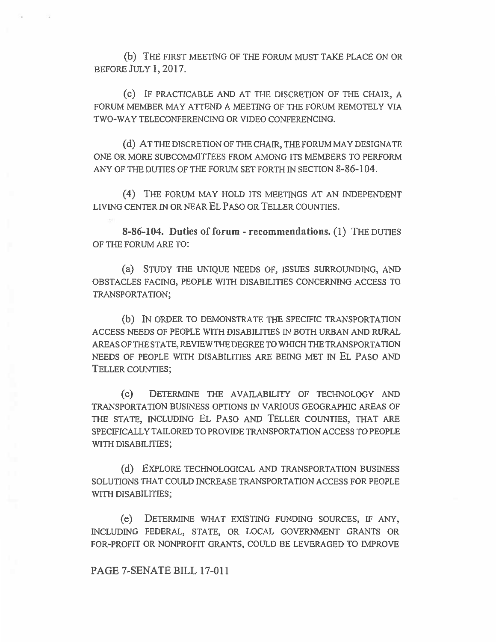(b) THE FIRST MEETING OF THE FORUM MUST TAKE PLACE ON OR BEFORE JULY 1, 2017.

(c) IF PRACTICABLE AND AT THE DISCRETION OF THE CHAIR, A FORUM MEMBER MAY ATTEND A MEETING OF THE FORUM REMOTELY VIA TWO-WAY TELECONFERENCING OR VIDEO CONFERENCING.

(d) AT THE DISCRETION OF THE CHAIR, THE FORUM MAY DESIGNATE ONE OR MORE SUBCOMMITTEES FROM AMONG ITS MEMBERS TO PERFORM ANY OF THE DUTIES OF THE FORUM SET FORTH IN SECTION 8-86-104.

(4) THE FORUM MAY HOLD ITS MEETINGS AT AN INDEPENDENT LIVING CENTER IN OR NEAR EL PASO OR TELLER COUNTIES.

**8-86-104. Duties of forum - recommendations. (1)** THE DUTIES OF THE FORUM ARE TO:

(a) STUDY THE UNIQUE NEEDS OF, ISSUES SURROUNDING, AND OBSTACLES FACING, PEOPLE WITH DISABILITIES CONCERNING ACCESS TO TRANSPORTATION;

(b) IN ORDER TO DEMONSTRATE THE SPECIFIC TRANSPORTATION ACCESS NEEDS OF PEOPLE WITH DISABILITIES IN BOTH URBAN AND RURAL AREAS OF THE STATE, REVIEW THE DEGREE TO WHICH THE TRANSPORTATION NEEDS OF PEOPLE WITH DISABILITIES ARE BEING MET IN EL PASO AND TELLER COUNTIES;

(c) DETERMINE THE AVAILABILITY OF TECHNOLOGY AND TRANSPORTATION BUSINESS OPTIONS IN VARIOUS GEOGRAPHIC AREAS OF THE STATE, INCLUDING EL PASO AND TELLER COUNTIES, THAT ARE SPECIFICALLY TAILORED TO PROVIDE TRANSPORTATION ACCESS TO PEOPLE WITH DISABILITIES;

(d) EXPLORE TECHNOLOGICAL AND TRANSPORTATION BUSINESS SOLUTIONS THAT COULD INCREASE TRANSPORTATION ACCESS FOR PEOPLE WITH DISABILITIES;

(e) DETERMINE WHAT EXISTING FUNDING SOURCES, IF ANY, INCLUDING FEDERAL, STATE, OR LOCAL GOVERNMENT GRANTS OR FOR-PROFIT OR NONPROFIT GRANTS, COULD BE LEVERAGED TO IMPROVE

PAGE 7-SENATE BILL 17-011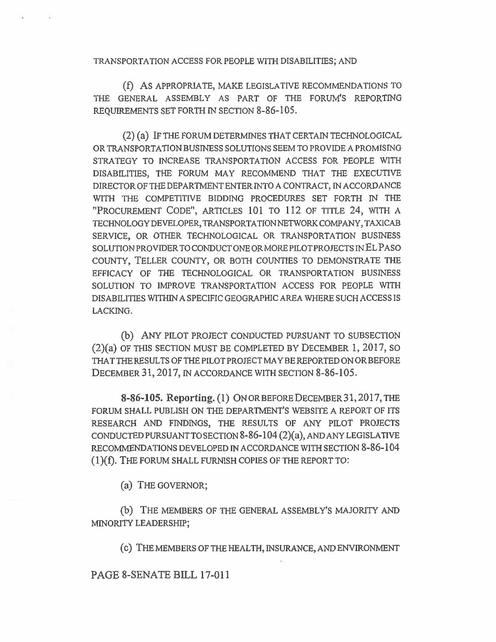TRANSPORTATION ACCESS FOR PEOPLE WITH DISABILITIES; AND

(f) As APPROPRIATE, MAKE LEGISLATIVE RECOMMENDATIONS TO THE GENERAL ASSEMBLY AS PART OF THE FORUM'S REPORTING REQUIREMENTS SET FORTH IN SECTION 8-86-105.

(2) (a) IF THE FORUM DETERMINES THAT CERTAIN TECHNOLOGICAL OR TRANSPORTATION BUSINESS SOLUTIONS SEEM TO PROVIDE A PROMISING STRATEGY TO INCREASE TRANSPORTATION ACCESS FOR PEOPLE WITH DISABILITIES, THE FORUM MAY RECOMMEND THAT THE EXECUTIVE DIRECTOR OF THE DEPARTMENT ENTER INTO A CONTRACT, IN ACCORDANCE WITH THE COMPETITIVE BIDDING PROCEDURES SET FORTH IN THE "PROCUREMENT CODE", ARTICLES 101 TO 112 OF TITLE 24, WITH A TECHNOLOGY DEVELOPER, TRANSPORTATION NETWORK COMPANY, TAXICAB SERVICE, OR OTHER TECHNOLOGICAL OR TRANSPORTATION BUSINESS SOLUTION PROVIDER TO CONDUCT ONE OR MORE PILOT PROJECTS IN EL PASO COUNTY, TELLER COUNTY, OR BOTH COUNTIES TO DEMONSTRATE THE EFFICACY OF THE TECHNOLOGICAL OR TRANSPORTATION BUSINESS SOLUTION TO IMPROVE TRANSPORTATION ACCESS FOR PEOPLE WITH DISABILITIES WITHIN A SPECIFIC GEOGRAPHIC AREA WHERE SUCH ACCESS IS LACKING.

(b) ANY PILOT PROJECT CONDUCTED PURSUANT TO SUBSECTION (2)(a) OF THIS SECTION MUST BE COMPLETED BY DECEMBER 1, 2017, SO THAT THE RESULTS OF THE PILOT PROJECT MAY BE REPORTED ON OR BEFORE DECEMBER 31, 2017, IN ACCORDANCE WITH SECTION 8-86-105.

**8-86-105. Reporting. (1)** ON OR BEFORE DECEMBER 31, 2017, THE FORUM SHALL PUBLISH ON THE DEPARTMENT'S WEBSITE A REPORT OF ITS RESEARCH AND FINDINGS, THE RESULTS OF ANY PILOT PROJECTS CONDUCTED PURSUANT TO SECTION 8-86-104 (2)(a), AND ANY LEGISLATIVE RECOMMENDATIONS DEVELOPED IN ACCORDANCE WITH SECTION 8-86-104 (1)(f). THE FORUM SHALL FURNISH COPIES OF THE REPORT TO:

(a) THE GOVERNOR;

(b) THE MEMBERS OF THE GENERAL ASSEMBLY'S MAJORITY AND MINORITY LEADERSHIP;

(c) THE MEMBERS OF THE HEALTH, INSURANCE, AND ENVIRONMENT

PAGE 8-SENATE BILL 17-011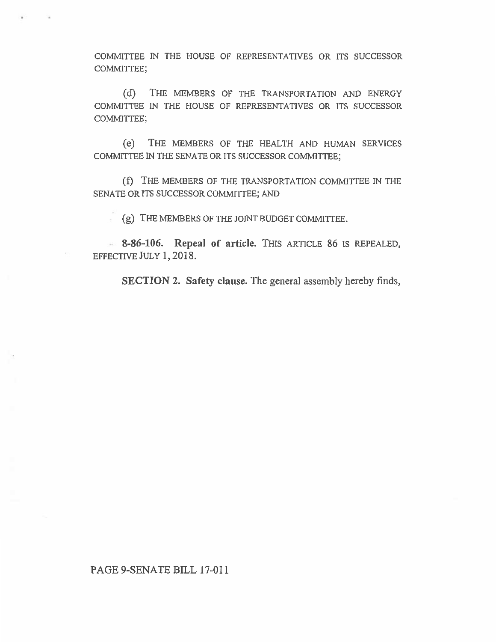COMMITTEE IN THE HOUSE OF REPRESENTATIVES OR ITS SUCCESSOR COMMITTEE;

(d) THE MEMBERS OF THE TRANSPORTATION AND ENERGY COMMITTEE IN THE HOUSE OF REPRESENTATIVES OR ITS SUCCESSOR COMMITTEE;

(e) THE MEMBERS OF THE HEALTH AND HUMAN SERVICES COMMITTEE IN THE SENATE OR ITS SUCCESSOR COMMITTEE;

(f) THE MEMBERS OF THE TRANSPORTATION COMMITTEE IN THE SENATE OR ITS SUCCESSOR COMMITTEE; AND

(g) THE MEMBERS OF THE JOINT BUDGET COMMITTEE.

**8-86-106. Repeal of article.** THIS ARTICLE 86 IS REPEALED, EFFECTIVE JULY 1, 2018.

**SECTION 2. Safety clause.** The general assembly hereby finds,

## PAGE 9-SENATE BILL 17-011